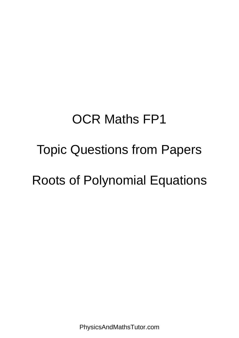# OCR Maths FP1

### Topic Questions from Papers

## Roots of Polynomial Equations

PhysicsAndMathsTutor.com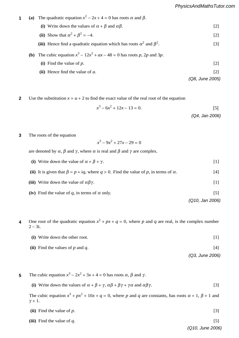- **1** (a) The quadratic equation  $x^2 2x + 4 = 0$  has roots  $\alpha$  and  $\beta$ . (i) Write down the values of  $\alpha + \beta$  and  $\alpha\beta$ . [2] **(ii)** Show that  $\alpha^2 + \beta^2 = -4$ . [2] (iii) Hence find a quadratic equation which has roots  $\alpha^2$  and  $\beta^2$ . [3] .  $[3]$ **(b)** The cubic equation  $x^3 - 12x^2 + ax - 48 = 0$  has roots *p*, 2*p* and 3*p*. **1** *n*(*n* + 1)(2*n* + 1). [5]  $2<sup>1</sup>$ **(b)** The cubic equation  $x^3 - 12x^2 + ax - 48 = 0$ <br>(i) Find the value of *n*, The quadratic equation  $x^2 - 2x + 4 = 0$  has roots  $\alpha$  and  $\beta$ . **(ii)** Show that  $\alpha + p = -4$ . **(i)** The cubic equation  $r^3 = 12r^2 + ar - 48 = 0$  has roots n 2n and 3n
	- (i) Find the value of  $p$ . [2]  $\lceil 2 \rceil$
	- **(ii)** Hence find the value of  $a$ . [2]  $\overline{5}$ . [5]  $\overline{5}$ . [5]  $\overline{5}$ . [5]  $\overline{5}$ . [5]  $\overline{5}$ . [5]  $\overline{5}$ . [5]  $\overline{5}$ . [5]  $\overline{5}$ . [5]  $\overline{5}$ . [5]  $\overline{5}$ . [5]  $\overline{5}$ . [5]  $\overline{5}$ . [5]  $\overline{5}$ . [5]  $\overline{5}$ . [5]  $\overline{5}$ . [5]  $\overline{5}$ . [
	- *(Q8, June 2005)* **(ii)** State, giving a brief reason, whether **M** is singular or non-singular. [1]
	- **2** Use the substitution  $x = u + 2$  to find the exact value of the real root of the equation **2** *r*(*remember 10*  $x = u + 2$  to find the exact value of the real root of the equation

$$
x^3 - 6x^2 + 12x - 13 = 0.
$$
 [5]

$$
(Q4, Jan 2006)
$$

**100 The roots of the equation 3**

$$
x^3 - 9x^2 + 27x - 29 = 0
$$

are denoted by  $\alpha$ ,  $\beta$  and  $\gamma$ , where  $\alpha$  is real and  $\beta$  and  $\gamma$  are complex.  $\overline{z}$ *r*=1 are denoted by  $\alpha$ ,  $\beta$  and  $\gamma$ , where  $\alpha$  is real and  $\beta$  and  $\gamma$  are complex. (*n* + 1). [6]

- **(ii)** It is given that  $\beta = p + iq$ , where  $q > 0$ . Find the value of *p*, in terms of  $\alpha$ . [4] **(i)** Write down the value of  $\alpha + \beta + \gamma$ . [1] which down the value of  $\alpha + \beta + \gamma$ .
- **(i)** Find **C**−<sup>1</sup>  $\mathcal{L}$   $\mathcal{L}$ **(iii)** Write down the value of  $\alpha\beta\gamma$ . [1]  $\mu$  will  $\epsilon$
- $\mathbf{A} \cdot \mathbf{B} = \mathbf{A} \cdot \mathbf{B}$ , where  $\mathbf{A} \cdot \mathbf{B} = \mathbf{A} \cdot \mathbf{B}$ , where  $\mathbf{A} \cdot \mathbf{B} = \mathbf{A} \cdot \mathbf{B}$ **(iv)** Find the value of *q*, in terms of  $\alpha$  only. [5]
	- . [5] *(Q10, Jan 2006)*  $\sqrt{910}$ , Jan 2000
- **7 (a)** The complex number 3 + 2i is denoted by *w* and the complex conjugate of *w* is denoted by *w* ∗. 4 One root of the quadratic equation  $x^2 + px + q = 0$ , where p and q are real, is the complex number  $2 - 3i$ . **4**
	- $(i)$  Write down the other root.  $[1]$  $\lbrack$  and  $\lbrack$  and  $\lbrack$  and  $\lbrack$  and  $\lbrack$  and  $\lbrack$  and  $\lbrack$  and  $\lbrack$  and  $\lbrack$  and  $\lbrack$  and  $\lbrack$  and  $\lbrack$  and  $\lbrack$  and  $\lbrack$  and  $\lbrack$  and  $\lbrack$  and  $\lbrack$  and  $\lbrack$  and  $\lbrack$  and  $\lbrack$  and
	- **(ii)** Find the values of *p* and *q*. [4]  $^{[4]}$ *n*(*n* + 1)(2*n* + 1). [6]
		- *(Q3, June 2006)*

- **5** The cubic equation  $x^3 2x^2 + 3x + 4 = 0$  has roots  $\alpha$ ,  $\beta$  and  $\gamma$ . **5**
	- ∑ (i) Write down the values of  $\alpha + \beta + \gamma$ ,  $\alpha\beta + \beta\gamma + \gamma\alpha$  and  $\alpha\beta\gamma$ . [3]

The cubic equation  $x^3 + px^2 + 10x + q = 0$ , where *p* and *q* are constants, has roots  $\alpha + 1$ ,  $\beta + 1$  and  $\gamma + 1$ .

| $\lceil 5 \rceil$ |
|-------------------|
|                   |
| $\left[3\right]$  |
|                   |

*PMT*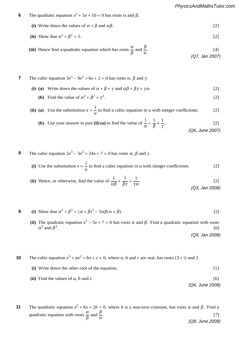- **7** The quadratic equation  $x^2 + 5x + 10 = 0$  has roots  $\alpha$  and  $\beta$ . **6** *r* + 1*0*<br>*r* + 10
	- (i) Write down the values of  $\alpha + \beta$  and  $\alpha\beta$ . [2]

(ii) Show that 
$$
\alpha^2 + \beta^2 = 5
$$
. [2]

(iii) Hence find a quadratic equation which has roots  $\frac{\alpha}{\beta}$  and  $\frac{\beta}{\alpha}$ .  $[4]$ *(Q7, Jan 2007)* . [3] **2**

### *PMT*

*PMT*

- **6** The cubic equation  $3x^3 9x^2 + 6x + 2 = 0$  has roots  $\alpha$ ,  $\beta$  and  $\gamma$ . *PMT*
	- (i) (a) Write down the values of  $\alpha + \beta + \gamma$  and  $\alpha\beta + \beta\gamma + \gamma\alpha$ . [2]
	- **(b)** Find the value of  $\alpha^2 + \beta^2 + \gamma^2$ . .  $[2]$

#### (ii) (a) Use the substitution  $x = \frac{1}{u}$  to find a cubic equation in *u* with integer coefficients. [2]  $\mathbf{1}$  $\mathbf{u}$   $\mathbf{v}$ **(ii)** (a) Use the substitution  $x = \frac{1}{x}$  to find **(i)** Find |*a*| and arg *a*. [2]  $\frac{u}{u}$   $\frac{d}{v}$   $\frac{d}{v}$   $\frac{d}{v}$   $\frac{d}{v}$   $\frac{d}{v}$   $\frac{d}{v}$   $\frac{d}{v}$   $\frac{d}{v}$   $\frac{d}{v}$   $\frac{d}{v}$   $\frac{d}{v}$

- **(b)** Use your answer to part **(ii) (a)** to find the value of  $\frac{1}{\alpha}$  + 1  $\overline{\beta}$  + 1 γ .  $[2]$  $($ Q6, June 2007) arg  $($ Q6, June 2007 (*ar*<sup>2</sup> <sup>+</sup> *b*) <sup>≡</sup> *n*(2*n*<sup>2</sup> <sup>+</sup> 3*n* <sup>−</sup> 2), find the values of the constants *a* and *b*. [5] **(b)** Use your answer to part **(ii)** (a) to find the value of  $\frac{1}{n} + \frac{1}{n} + \frac{1}{n}$ . [2] **(ii)** Given instead that **A** is non-singular, find **A**<sup>−</sup><sup>1</sup> and hence solve the simultaneous equations
- **3** The cubic equation  $2x^3 3x^2 + 24x + 7 = 0$  has roots α, β and γ. **8**
- (i) Use the substitution  $x = \frac{1}{u}$  to find a cubic equation in u with integer coefficients. [2]  $\overline{\phantom{a}}$  and  $\overline{\phantom{a}}$  and  $\overline{\phantom{a}}$  and  $\overline{\phantom{a}}$  and  $\overline{\phantom{a}}$  and  $\overline{\phantom{a}}$  and  $\overline{\phantom{a}}$  and  $\overline{\phantom{a}}$  and  $\overline{\phantom{a}}$  and  $\overline{\phantom{a}}$  and  $\overline{\phantom{a}}$  and  $\overline{\phantom{a}}$  and  $\overline{\phantom{a}}$  and  $\overline{\phantom{a}}$  a
	- (ii) Hence, or otherwise, find the value of  $\frac{1}{\alpha\beta}$  + 1  $\overline{\beta\gamma}$  + 1 γ α .  $[2]$ *(Q3, Jan 2008)* (i)  $\frac{1}{1}$   $\frac{1}{1}$   $\frac{1}{2}$  $\alpha\beta$   $\beta\gamma$   $\gamma\alpha$  (0.3 Jan 2008) 1 1 1

9 (i) Show that 
$$
\alpha^3 + \beta^3 = (\alpha + \beta)^3 - 3\alpha\beta(\alpha + \beta)
$$
. [2]

(ii) The quadratic equation  $x^2 - 5x + 7 = 0$  has roots  $\alpha$  and  $\beta$ . Find a quadratic equation with roots  $\alpha^3$  and  $\beta^3$  $\sqrt{20}$  log 2005 .  $[6]$ *(Q9, Jan 2008)*

 $(x^3, \text{at } 2000)$ 

**10** The cubic equation 
$$
x^3 + ax^2 + bx + c = 0
$$
, where *a*, *b* and *c* are real, has roots (3 + i) and 2.

**7** Describe fully the geometrical transformation represented by each of the following matrices:

- $(i)$  Write down the other root of the equation.  $[1]$ (ii) Find the values of *a*, *b* and *c*. [6] (i) Write down the other root of the equation. [1]<br> **(i)** Find the values of a, b and c. [6] 3*r* + 4  $\mathbf{r}$
- **(iii) CA**. [2] *(Q6, June 2008)*

 $\frac{0.25 \text{ cm}}{200 \text{ cm}}$ 

The quadratic equation  $x^2 + kx + 2k = 0$ , where *k* is a non-zero constant, has roots α and β. Find a  $\alpha = \beta$ quadratic equat quadratic equation with roots  $\frac{\alpha}{\beta}$  and  $\frac{\beta}{\alpha}$ . <sup>10</sup>, find the value of *<sup>N</sup>*. [4] .  $[7]$ *(Q8, June 2008)* **11**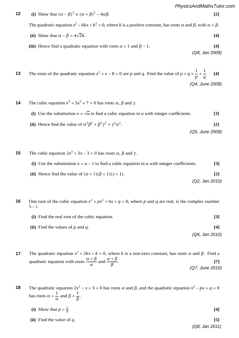$$
PMT \t12 \t(i) Show that  $(α - β)^2 = (α + β)^2 - 4αβ$ . [2]
$$

The quadratic equation  $x^2 - 6kx + k^2 = 0$ , where *k* is a positive constant, has roots  $\alpha$  and  $\beta$ , with  $\alpha > \beta$ . (i) show that  $(x^2 - p) = (x^2 + p)$   $\cdots$   $x^2 - p$ . Fine quadratic equation  $x = 0$ ,  $\theta$  for  $\theta$  is a positive constant, has roots  $\theta$  and  $\beta$ ,  $\theta$  and  $\theta$   $\beta$ .  $\frac{2}{5}$ *r*(*r* <sup>+</sup> 1) = <sup>1</sup> <sup>3</sup>*n*(*n* + 1)(*n* + 2). **[5]**

(ii) Show that 
$$
\alpha - \beta = 4\sqrt{2}k
$$
. [4]

**(iii)** Hence find a quadratic equation with roots  $\alpha + 1$  and  $\beta - 1$ . [4] *(Q8, Jan 2009)* **(i) AB**, **[2] 3 (iii)** Hence find a quadratic equation with roots  $\alpha + 1$  and  $\beta - 1$ .  $f(x)$  if there are a quadrant equation with roots  $\alpha + 1$  and **(iii)** Hence find a quadratic equation with roots  $\alpha + 1$  and  $\beta - 1$ .

 $\sqrt{80}$ ,  $\sqrt{200}$ 

 $\sqrt{80}$ ,  $\sqrt{411}$   $\geq$   $\sqrt{00}$ 

13 The roots of the quadratic equation 
$$
x^2 + x - 8 = 0
$$
 are *p* and *q*. Find the value of  $p + q + \frac{1}{p} + \frac{1}{q}$ . [4]  
(Q4, June 2009)

### *PMT*

*PMT*

- **14** The cubic equation  $x^3 + 5x^2 + 7 = 0$  has roots  $\alpha$ ,  $\beta$  and  $\gamma$ . <sub>the</sub> case equals.
	- (i) Use the substitution  $x = \sqrt{u}$  to find a cubic equation in *u* with integer coefficients. [3]  $\alpha$  The complex satisfies the satisfied the  $\alpha$  +  $\alpha$  to find a value equation  $\mu$  with integer coefficients.
		- (ii) Hence find the value of  $\alpha^2 \beta^2 + \beta^2 \gamma^2 + \gamma^2 \alpha^2$ . **[2] (a)** Fig. (a)  $\mu$  +  $\mu$  +  $\mu$  +  $\mu$  +  $\mu$  +  $\mu$  +  $\mu$  +  $\mu$  +  $\mu$  +  $\mu$  +  $\mu$  +  $\mu$  +  $\mu$  +  $\mu$  +  $\mu$  +  $\mu$  +  $\mu$  +  $\mu$  +  $\mu$  +  $\mu$  +  $\mu$  +  $\mu$  +  $\mu$  +  $\mu$  +  $\mu$  +  $\mu$  +  $\mu$  +  $\mu$  +  $\mu$  +  $\mu$ (ii) Hence find the value of  $\alpha^2 \beta^2 + \beta^2 \gamma^2 + \gamma^2 \alpha^2$ . [2] Hence find the value of  $\alpha^2 \beta^2 + \beta^2 \gamma^2 + \gamma^2 \alpha^2$ . [2]

√ 5. Give your *(Q5, June 2009)*

- **i** The cubic equation  $2x^3 + 3x 3 = 0$  has roots  $\alpha$ ,  $\beta$  and  $\gamma$ . **15**
	- (i) Use the substitution  $x = u 1$  to find a cubic equation in u with integer coefficients. [3]
		- **(ii)** Hence find the value of  $(\alpha + 1)(\beta + 1)(\gamma + 1)$ . [2]  $\frac{(0.3 \cdot 10^{31} \text{ J})}{(0.3 \cdot 10^{31} \text{ J})^2}$ **(ii)** Hence find the value of  $(\alpha + 1)(\beta + 1)(\gamma + 1)$ . **[2]** Hence find the value of  $(\alpha + 1)(\beta + 1)(\gamma + 1)$ . [2] √ 3

 $(Q2, Jan 2010)$  $(Q2, Jan~2010)$ 

- $\overline{J}$  **use** the method of differences to show that  $\overline{J}$ One root of the cubic equation  $x^3 + px^2 + 6x + q = 0$ , where p and q are real, is the complex number  $5 - i$ . **16**
	- $\bf{r}$  (i) Find the real root of the cubic equation. <sup>4</sup> <sup>−</sup> 1. [**2**] **4** Find —<br>∑:⊾  $r_{1}$  $r$  **(i)** Find the real root of the cubic equation. **[3]** 
		- **(ii)** Find the values of *p* and *q*.  $[4]$ (P6 *Lan 201∟*) 1 0". Give a geometrical description *(Q6, Jan 2010)* |\$ − 3 + 4i| ≤ 5 and |\$| ≥ |\$ − 6|. **[2]**

The quadratic equation  $x^2 + 2kx + k = 0$ , where k is a non-zero constant, has roots  $\alpha$  and  $\beta$ . Find a  $\mathbf{r}$ *n*  $\mathbf{d}$ : quadratic equation with roots  $\frac{\alpha + \beta}{\alpha}$  and  $\frac{\alpha + \beta}{\beta}$ . . [**6**] thransformation  $\alpha + \beta$  and  $\alpha + \beta$ (*<sup>r</sup>* <sup>+</sup> <sup>1</sup>)<sup>2</sup> <sup>≡</sup> <sup>2</sup>*<sup>r</sup>* <sup>+</sup> <sup>1</sup> *<sup>r</sup>*<sup>2</sup>(*<sup>r</sup>* <sup>+</sup> <sup>1</sup>)<sup>2</sup> . **[1]** quadratic equation with roots  $\frac{\alpha + \beta}{\alpha}$  and  $\frac{\alpha + \beta}{\beta}$ . *<sup>r</sup>*<sup>2</sup>(*<sup>r</sup>* <sup>+</sup> <sup>1</sup>)<sup>2</sup> . **[4]** *(Q7, June 2010)* **7** The quadratic equation  $x^2 + 2kx + k = 0$ , where *k* is a non-zero constant, has roots  $\alpha$  and  $\beta$ . Find a  $\frac{1}{\beta}$  . [7] **17**

**3** The quadratic equation  $2x^2 - x + 3 = 0$  has roots  $\alpha$  and  $\beta$ , and the quadratic equation  $x^2 - px + q = 0$  $\alpha$  **b**  $\beta$ has roots  $\alpha + \frac{1}{\alpha}$  $\frac{1}{\alpha}$  and  $\beta + \frac{1}{\beta}$  $\frac{1}{\beta}$ . **18**

- (i) Show that  $p = \frac{5}{6}$ . **(ii)** Find the value of *q*.  $[5]$ (i) Show that  $p = \frac{1}{6}$ .  $\frac{5}{6}$ . [4]
	- f  $q$ . *<sup>r</sup>*<sup>2</sup>(*<sup>r</sup>* <sup>+</sup> <sup>1</sup>)<sup>2</sup> . **[1] (ii**) Sketch on a single Argand diagram the two possible loci given by  $\begin{pmatrix} 1 & 0 \\ 0 & 0 \end{pmatrix}$   $\begin{pmatrix} 0 & 0 & 0 \\ 0 & 0 & 0 \\ 0 & 0 & 0 \end{pmatrix}$ *(Q8, Jan 2011)*

 $\left(\forall t, \text{ourC } L\right)$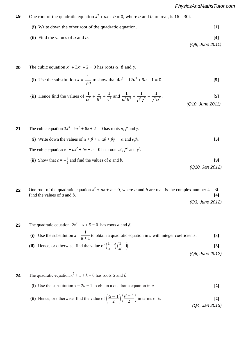*(Q9, June 2011)*

*(Q3, June 2012)*

- **9** One root of the quadratic equation  $x^2 + ax + b = 0$ , where *a* and *b* are real, is 16 30i. **19**
	- **(i)** Write down the other root of the quadratic equation. **[1] (ii)** Find the values of *a* and *b*. **[4]** 9 One root of the quadratic equation  $x^2 + ax + b = 0$ , where  $a$  and  $b$  are real, is 16  $-$  30i. **(i)** Write down the other root of the quadratic equation. **[1] (ii)** Find the values of *a* and *b*. **[4]**

 $\frac{1}{2}$   $\frac{1}{2}$   $\frac{1}{2}$   $\frac{1}{2}$   $\frac{1}{2}$   $\frac{1}{2}$   $\frac{1}{2}$   $\frac{1}{2}$   $\frac{1}{2}$   $\frac{1}{2}$   $\frac{1}{2}$   $\frac{1}{2}$   $\frac{1}{2}$   $\frac{1}{2}$   $\frac{1}{2}$   $\frac{1}{2}$   $\frac{1}{2}$   $\frac{1}{2}$   $\frac{1}{2}$   $\frac{1}{2}$   $\frac{1}{2}$   $\frac{1}{2}$ 

*PMT*

*PMT*

**10** The cubic equation  $x^3 + 3x^2 + 2 = 0$  has roots  $\alpha$ ,  $\beta$  and  $\gamma$ . **10** The cubic equation  $x^3 + 3x^2 + 2 = 0$  has roots  $\alpha$ ,  $\beta$  and  $\gamma$ . **20** *PMT*

(i) Use the substitution 
$$
x = \frac{1}{\sqrt{u}}
$$
 to show that  $4u^3 + 12u^2 + 9u - 1 = 0$ . [5]

(ii) Hence find the values of 
$$
\frac{1}{\alpha^2} + \frac{1}{\beta^2} + \frac{1}{\gamma^2}
$$
 and  $\frac{1}{\alpha^2 \beta^2} + \frac{1}{\beta^2 \gamma^2} + \frac{1}{\gamma^2 \alpha^2}$ . [5]

The cubic equation  $3x^3 - 9x^2 + 6x + 2 = 0$  has roots  $\alpha$ ,  $\beta$  and  $\gamma$ . **(i)** Write down the values of  $\alpha + \beta + \gamma$ ,  $\alpha\beta + \beta\gamma + \gamma\alpha$  and  $\alpha\beta\gamma$ . [3] The cubic equation  $x^3 + ax^2 + bx + c = 0$  has roots  $\alpha^2$ ,  $\beta^2$  and  $\gamma^2$ . **21** *w* (i) Write down the values of  $\alpha + \beta + \gamma$ ,  $\alpha\beta + \beta\gamma + \gamma\alpha$  and  $\alpha\beta\gamma$ . [3]  $(ii)$   $\Omega_{12}$ **A**−<sup>1</sup>  $\frac{1}{2}$  and find the values of  $\frac{1}{2}$  and  $\frac{1}{2}$ 

*PMT* (ii) Show that 
$$
c = -\frac{4}{9}
$$
 and find the values of *a* and *b*. (Q10, Jan 2012)

One root of the quadratic equation  $\hat{x}^2 + ax + b = 0$ , where *a* and *b* are real, is the complex number 4 – 3i.<br> **[4]**<br> **1** Find the values of *a* and *b*.  $[4]$ **22**  $2 \text{ radinter}$   $2 \text{ radinter}$   $3 \text{ rad } b$ .<br>So f a and b. **1**<br>**2** One root of the quadratic equation  $\hat{x}^2 + ax + b = 0$ , where *a* and *b* are real, is the complex numb *a* 1 Find the values of a and b.

**5** The quadratic equation  $2x^2 + x + 5$  $5 = 0$ **f** The quadratic equation  $2x^2 + x + 5 = 0$  has roots *α* and *β.* **23** *r* 1 *n* atic equat unadratic equation  $2x^2 + x + 5 = 0$  has roots  $\alpha$  and  $\beta$ .

 $\frac{1}{\sqrt{1 + \lambda}}$  +  $\frac{1}{\lambda}$  +  $\frac{1}{\lambda}$  +  $\frac{1}{\lambda}$  +  $\frac{1}{\lambda}$  +  $\frac{1}{\lambda}$  +  $\frac{1}{\lambda}$  +  $\frac{1}{\lambda}$  +  $\frac{1}{\lambda}$  +  $\frac{1}{\lambda}$  +  $\frac{1}{\lambda}$  +  $\frac{1}{\lambda}$  +  $\frac{1}{\lambda}$  +  $\frac{1}{\lambda}$  +  $\frac{1}{\lambda}$  +  $\frac{1}{\lambda}$  +  $\frac{1}{\lambda$ **(i)** Use the substitution  $x = \frac{1}{u+1}$  to obtain a quadratic equation in *u* with integer coefficients. [3]

(a)  $\frac{1}{Z}$ *<sup>u</sup>* + 1 to obtain a quadratic equation in *u* with integer coefficients. **[3]** *(Q6, June 2012)* (ii) Hence, or otherwise, find the value of  $\left(\frac{1}{\alpha} - 1\right) \left(\frac{1}{\beta}\right)$  $\frac{1}{\beta} - 1$ . [3]  $\frac{z}{z}$ 

**7 a** and *C* and *C<sub>1</sub>* **and** *C***<sub>2</sub> and**  $\alpha$  **=**  $\alpha$  **+**  $\alpha$  **+**  $\alpha$  **+**  $\alpha$  **+**  $\alpha$  **+**  $\alpha$  **+**  $\alpha$  **+**  $\alpha$  **+**  $\alpha$  **+**  $\alpha$  **+**  $\alpha$  **+**  $\alpha$  **+**  $\alpha$  **+**  $\alpha$  **+**  $\alpha$  **+**  $\alpha$  **+**  $\alpha$  **+**  $\alpha$  **+**  $\alpha$  **+**  $\alpha$  **+**  $\alpha$  **+**  $\alpha$  **+**  $\alpha$  **+**  $\alpha$  **+ \ 4** The quadratic equation  $x^2 + x + k = 0$  has roots  $\alpha$  and  $\beta$ . **24**

- (a) See the substitution  $w = \omega_0 + 1$  to solutin a quadratic eq.  $[6]$ **(i)** Use the substitution  $x = 2u + 1$  to obtain a quadratic equation in *u*. **[2]** . **[2]**
- **(ii)** Hence, or otherwise, find the value of  $\left(\frac{\alpha-1}{2}\right)\left(\frac{\beta-1}{2}\right)$  in terms of *k*. . **[2]**  $\left(\begin{array}{cc} 1 & 0 \\ 0 & 1 \end{array}\right)$  $\frac{2}{\sqrt{2}}$  /  $\frac{2}{\sqrt{2}}$  /  $\frac{2}{\sqrt{2}}$  . (0.4 lon 301; (ii) Hence, or otherwise, find the value of  $\left(\frac{\alpha-1}{2}\right)\left(\frac{\beta-1}{2}\right)$  in terms of *k*. [2] *(Q4, Jan 2013)*